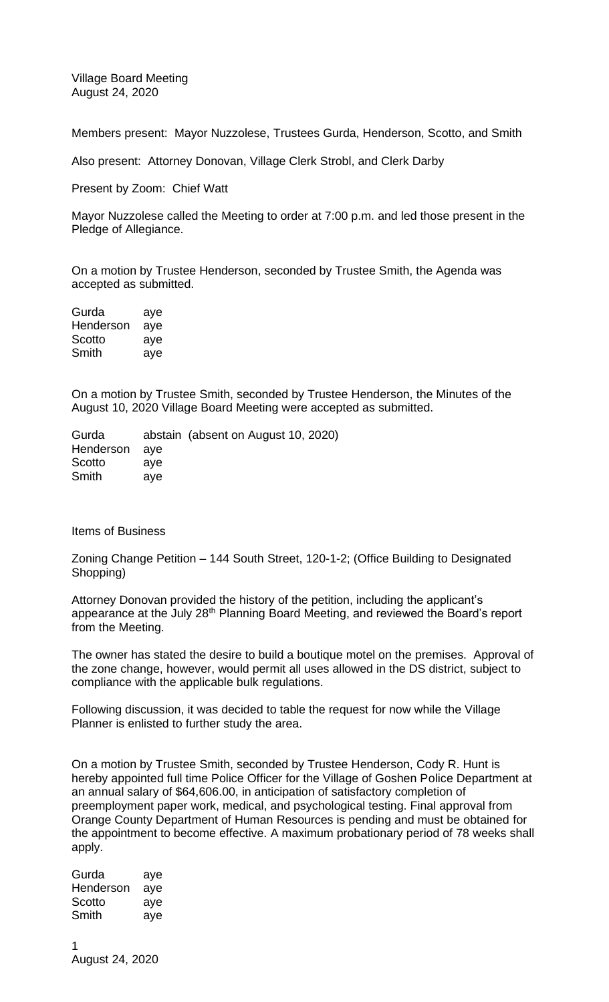Village Board Meeting August 24, 2020

Members present: Mayor Nuzzolese, Trustees Gurda, Henderson, Scotto, and Smith

Also present: Attorney Donovan, Village Clerk Strobl, and Clerk Darby

Present by Zoom: Chief Watt

Mayor Nuzzolese called the Meeting to order at 7:00 p.m. and led those present in the Pledge of Allegiance.

On a motion by Trustee Henderson, seconded by Trustee Smith, the Agenda was accepted as submitted.

| Gurda     | aye |
|-----------|-----|
| Henderson | aye |
| Scotto    | aye |
| Smith     | aye |

On a motion by Trustee Smith, seconded by Trustee Henderson, the Minutes of the August 10, 2020 Village Board Meeting were accepted as submitted.

Gurda abstain (absent on August 10, 2020) Henderson aye Scotto aye Smith aye

Items of Business

Zoning Change Petition – 144 South Street, 120-1-2; (Office Building to Designated Shopping)

Attorney Donovan provided the history of the petition, including the applicant's appearance at the July 28<sup>th</sup> Planning Board Meeting, and reviewed the Board's report from the Meeting.

The owner has stated the desire to build a boutique motel on the premises. Approval of the zone change, however, would permit all uses allowed in the DS district, subject to compliance with the applicable bulk regulations.

Following discussion, it was decided to table the request for now while the Village Planner is enlisted to further study the area.

On a motion by Trustee Smith, seconded by Trustee Henderson, Cody R. Hunt is hereby appointed full time Police Officer for the Village of Goshen Police Department at an annual salary of \$64,606.00, in anticipation of satisfactory completion of preemployment paper work, medical, and psychological testing. Final approval from Orange County Department of Human Resources is pending and must be obtained for the appointment to become effective. A maximum probationary period of 78 weeks shall apply.

Gurda aye Henderson aye Scotto aye Smith aye

1 August 24, 2020